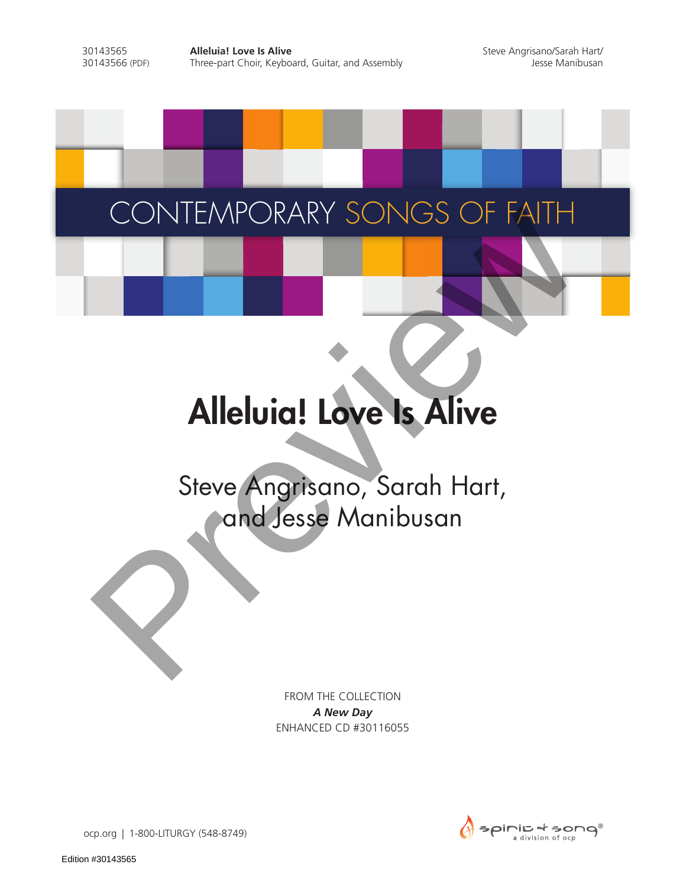# CONTEMPORARY SONGS OF FAITH

# Alleluia! Love Is Alive

# Steve Angrisano, Sarah Hart, CONTEMPORARY SONGS OF FAITH

FROM THE COLLECTION *A New Day* ENHANCED CD #30116055



ocp.org | 1-800-LITURGY (548-8749)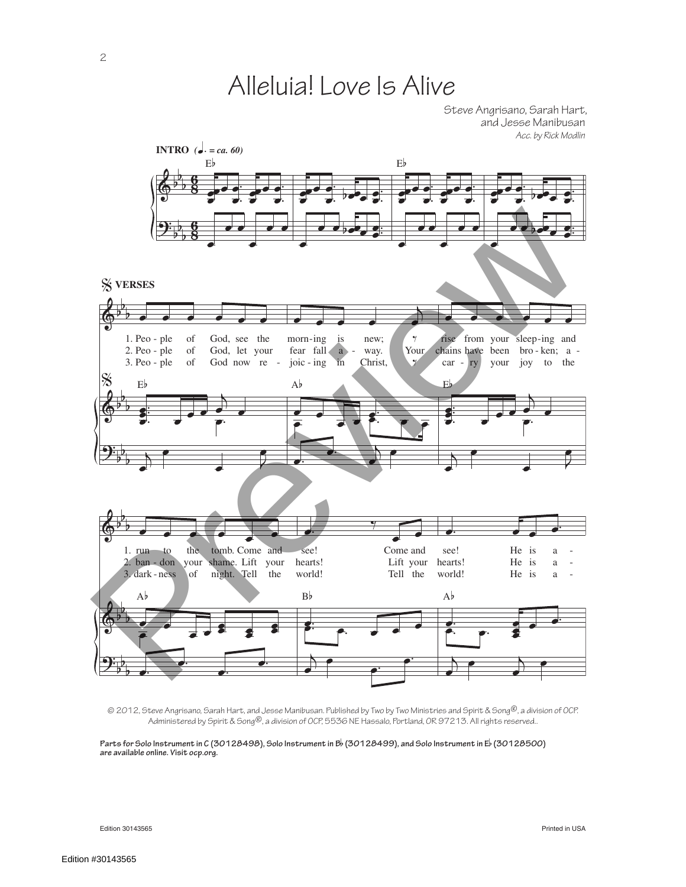## Alleluia! Love Is Alive

Steve Angrisano, Sarah Hart, and Jesse Manibusan *Acc. by Rick Modlin*



© 2012, Steve Angrisano, Sarah Hart, and Jesse Manibusan. Published by Two by Two Ministries and Spirit & Song®, a division of OCP. Administered by Spirit & Song®, a division of OCP, 5536 NE Hassalo, Portland, OR 97213. All rights reserved..

**Parts for Solo Instrument in C (30128498), Solo Instrument in B**b **(30128499), and Solo Instrument in E**b **(30128500) are available online. Visit ocp.org.** 

Edition 30143565 Printed in USA

Edition #30143565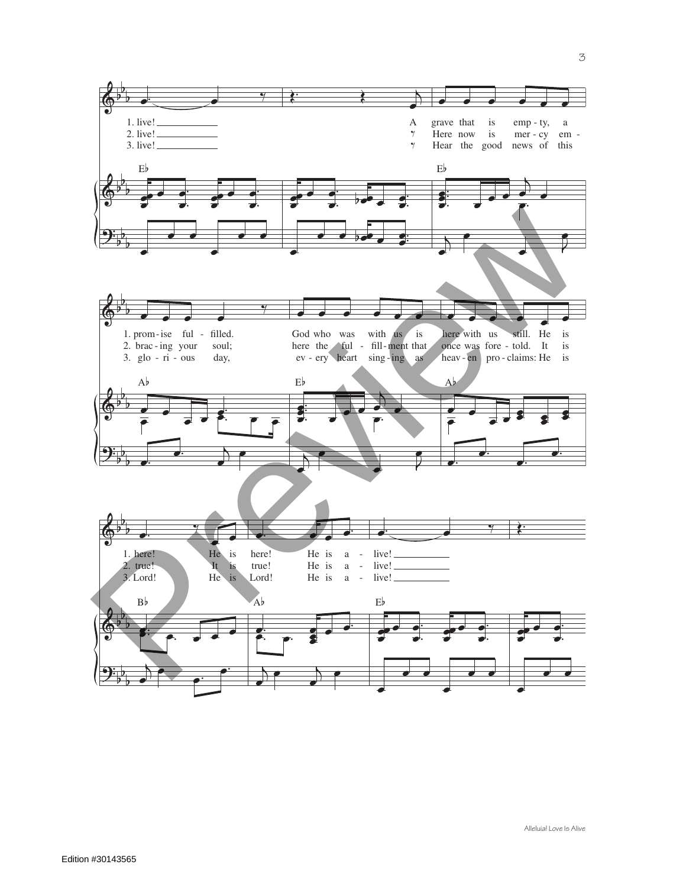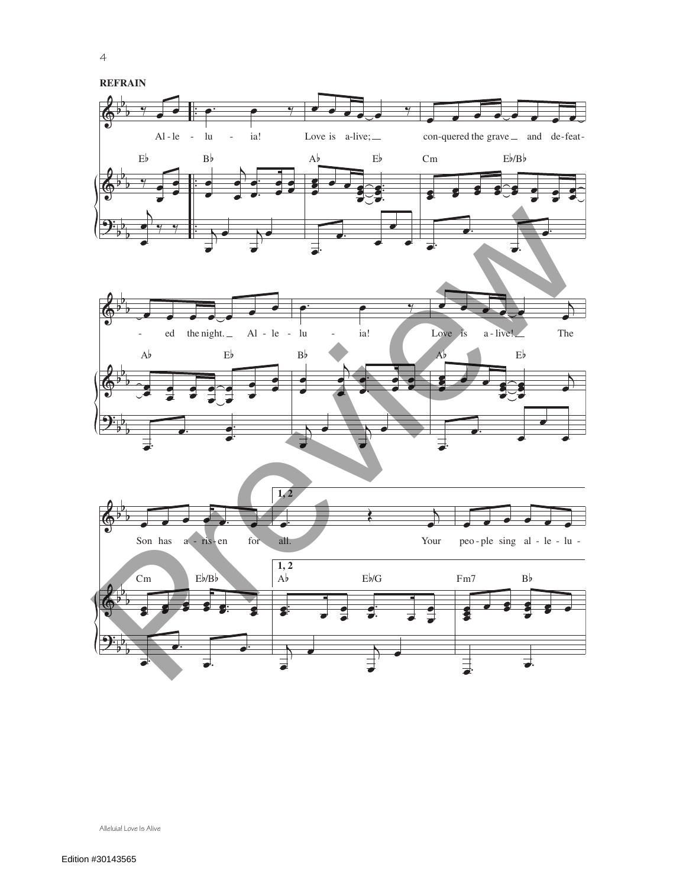



Alleluia! Love Is Alive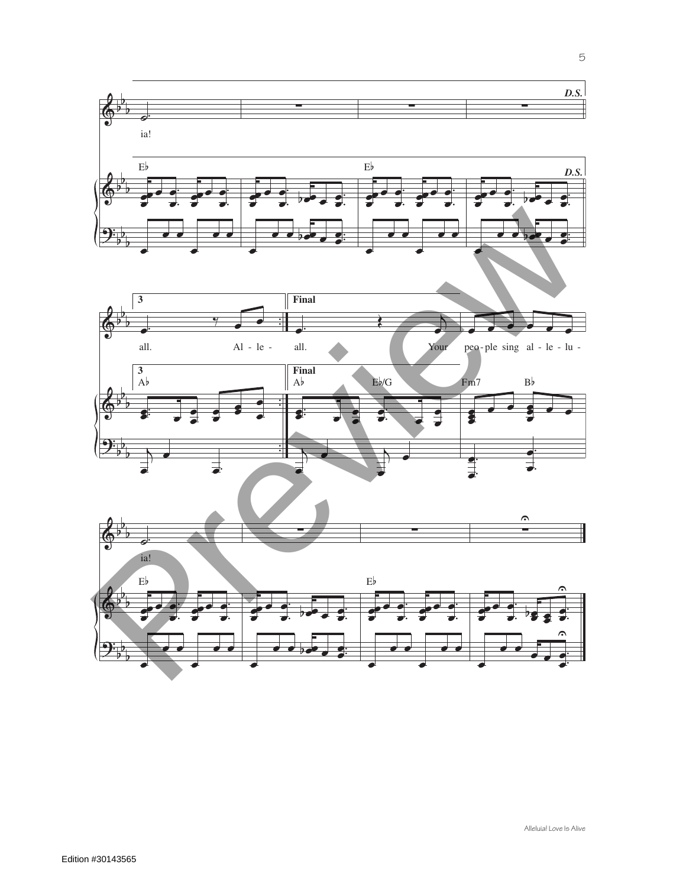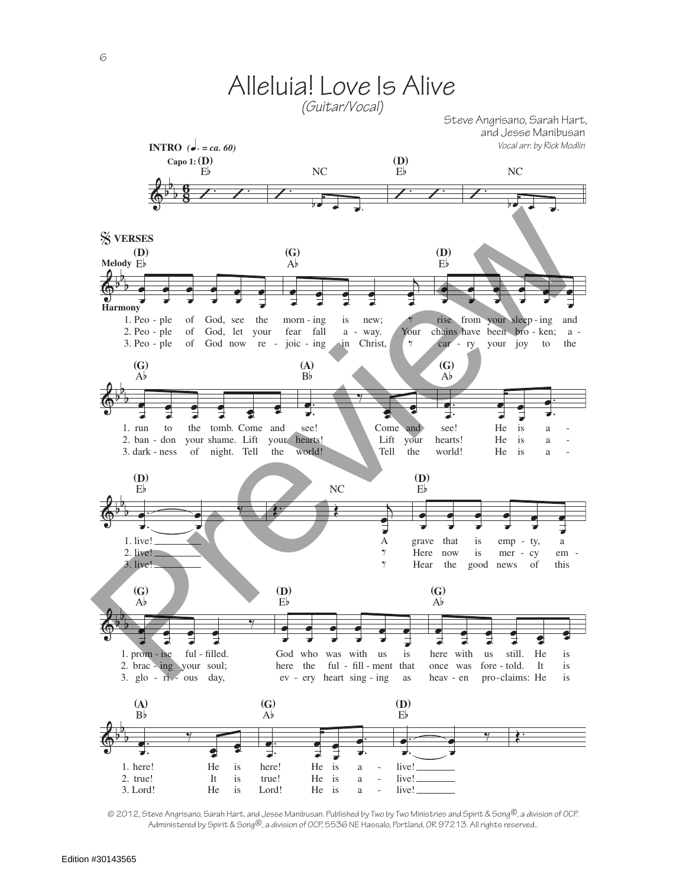

© 2012, Steve Angrisano, Sarah Hart, and Jesse Manibusan. Published by Two by Two Ministries and Spirit & Song®, a division of OCP. Administered by Spirit & Song®, a division of OCP, 5536 NE Hassalo, Portland, OR 97213. All rights reserved..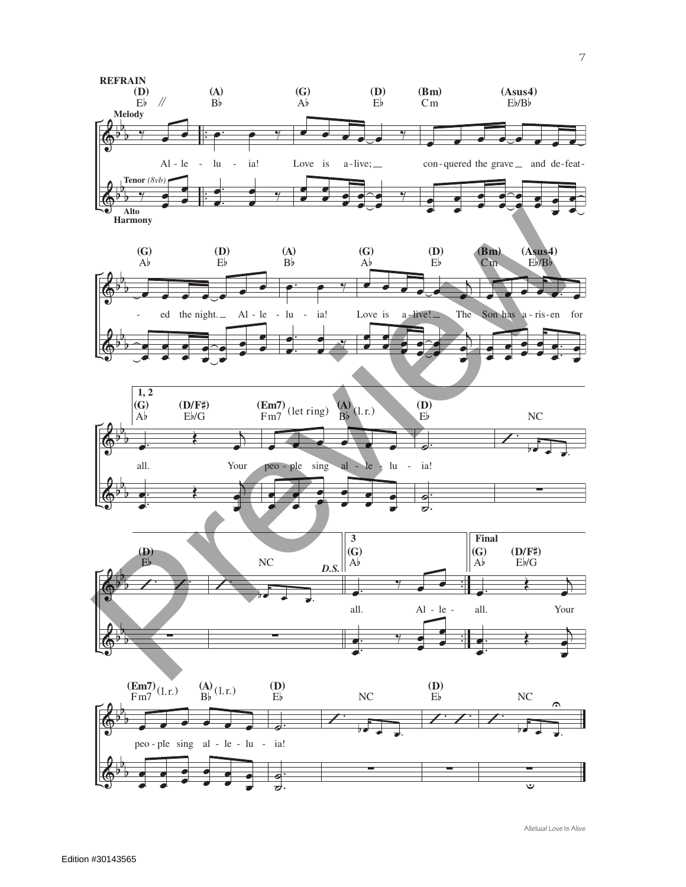